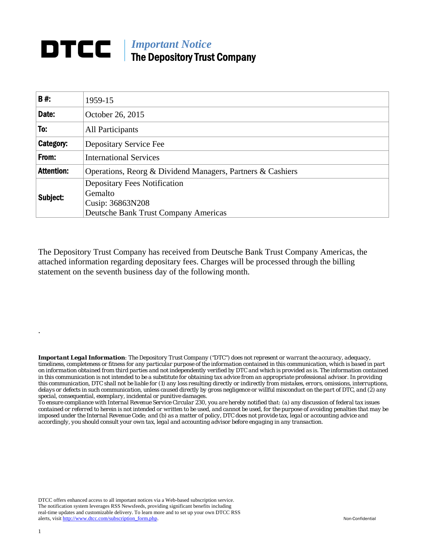## **DTCC** | *Important Notice* The Depository Trust Company

| B#:               | 1959-15                                                    |  |  |  |  |  |
|-------------------|------------------------------------------------------------|--|--|--|--|--|
| Date:             | October 26, 2015                                           |  |  |  |  |  |
| To:               | All Participants                                           |  |  |  |  |  |
| Category:         | Depositary Service Fee                                     |  |  |  |  |  |
| From:             | <b>International Services</b>                              |  |  |  |  |  |
| <b>Attention:</b> | Operations, Reorg & Dividend Managers, Partners & Cashiers |  |  |  |  |  |
| Subject:          | <b>Depositary Fees Notification</b><br>Gemalto             |  |  |  |  |  |
|                   | Cusip: 36863N208                                           |  |  |  |  |  |
|                   | <b>Deutsche Bank Trust Company Americas</b>                |  |  |  |  |  |

The Depository Trust Company has received from Deutsche Bank Trust Company Americas, the attached information regarding depositary fees. Charges will be processed through the billing statement on the seventh business day of the following month.

*Important Legal Information: The Depository Trust Company ("DTC") does not represent or warrant the accuracy, adequacy, timeliness, completeness or fitness for any particular purpose of the information contained in this communication, which is based in part on information obtained from third parties and not independently verified by DTC and which is provided as is. The information contained in this communication is not intended to be a substitute for obtaining tax advice from an appropriate professional advisor. In providing this communication, DTC shall not be liable for (1) any loss resulting directly or indirectly from mistakes, errors, omissions, interruptions, delays or defects in such communication, unless caused directly by gross negligence or willful misconduct on the part of DTC, and (2) any special, consequential, exemplary, incidental or punitive damages.* 

*To ensure compliance with Internal Revenue Service Circular 230, you are hereby notified that: (a) any discussion of federal tax issues contained or referred to herein is not intended or written to be used, and cannot be used, for the purpose of avoiding penalties that may be imposed under the Internal Revenue Code; and (b) as a matter of policy, DTC does not provide tax, legal or accounting advice and accordingly, you should consult your own tax, legal and accounting advisor before engaging in any transaction.*

DTCC offers enhanced access to all important notices via a Web-based subscription service. The notification system leverages RSS Newsfeeds, providing significant benefits including real-time updates and customizable delivery. To learn more and to set up your own DTCC RSS alerts, visit http://www.dtcc.com/subscription\_form.php. Non-Confidential

.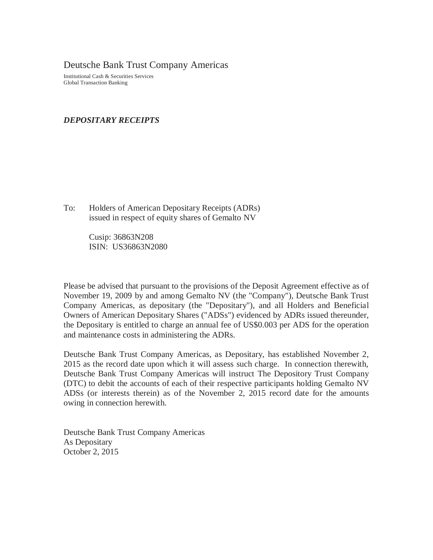Deutsche Bank Trust Company Americas

Institutional Cash & Securities Services Global Transaction Banking

## *DEPOSITARY RECEIPTS*

To: Holders of American Depositary Receipts (ADRs) issued in respect of equity shares of Gemalto NV

> Cusip: 36863N208 ISIN: US36863N2080

Please be advised that pursuant to the provisions of the Deposit Agreement effective as of November 19, 2009 by and among Gemalto NV (the "Company"), Deutsche Bank Trust Company Americas, as depositary (the "Depositary"), and all Holders and Beneficial Owners of American Depositary Shares ("ADSs") evidenced by ADRs issued thereunder, the Depositary is entitled to charge an annual fee of US\$0.003 per ADS for the operation and maintenance costs in administering the ADRs.

Deutsche Bank Trust Company Americas, as Depositary, has established November 2, 2015 as the record date upon which it will assess such charge. In connection therewith, Deutsche Bank Trust Company Americas will instruct The Depository Trust Company (DTC) to debit the accounts of each of their respective participants holding Gemalto NV ADSs (or interests therein) as of the November 2, 2015 record date for the amounts owing in connection herewith.

Deutsche Bank Trust Company Americas As Depositary October 2, 2015